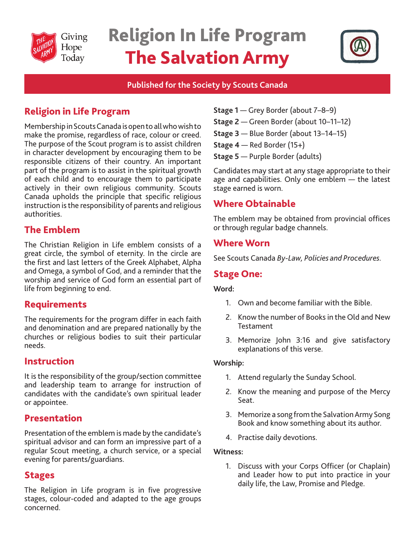

# Religion In Life Program The Salvation Army



## **Published for the Society by Scouts Canada**

# Religion in Life Program

Membership in Scouts Canada is open to all who wish to make the promise, regardless of race, colour or creed. The purpose of the Scout program is to assist children in character development by encouraging them to be responsible citizens of their country. An important part of the program is to assist in the spiritual growth of each child and to encourage them to participate actively in their own religious community. Scouts Canada upholds the principle that specific religious instruction is the responsibility of parents and religious authorities.

# The Emblem

The Christian Religion in Life emblem consists of a great circle, the symbol of eternity. In the circle are the first and last letters of the Greek Alphabet, Alpha and Omega, a symbol of God, and a reminder that the worship and service of God form an essential part of life from beginning to end.

# Requirements

The requirements for the program differ in each faith and denomination and are prepared nationally by the churches or religious bodies to suit their particular needs.

## Instruction

It is the responsibility of the group/section committee and leadership team to arrange for instruction of candidates with the candidate's own spiritual leader or appointee.

## Presentation

Presentation of the emblem is made by the candidate's spiritual advisor and can form an impressive part of a regular Scout meeting, a church service, or a special evening for parents/guardians.

## Stages

The Religion in Life program is in five progressive stages, colour-coded and adapted to the age groups concerned.

- **Stage 1** Grey Border (about 7–8–9)
- **Stage 2** Green Border (about 10–11–12)
- **Stage 3** Blue Border (about 13–14–15)
- **Stage 4**  Red Border (15+)
- **Stage 5** Purple Border (adults)

Candidates may start at any stage appropriate to their age and capabilities. Only one emblem — the latest stage earned is worn.

# Where Obtainable

The emblem may be obtained from provincial offices or through regular badge channels.

## Where Worn

See Scouts Canada *By-Law, Policies and Procedures.* 

## Stage One:

#### **Word:**

- 1. Own and become familiar with the Bible.
- 2. Know the number of Books in the Old and New **Testament**
- 3. Memorize John 3:16 and give satisfactory explanations of this verse.

#### **Worship:**

- 1. Attend regularly the Sunday School.
- 2. Know the meaning and purpose of the Mercy Seat.
- 3. Memorize a song from the Salvation Army Song Book and know something about its author.
- 4. Practise daily devotions.

#### **Witness:**

1. Discuss with your Corps Officer (or Chaplain) and Leader how to put into practice in your daily life, the Law, Promise and Pledge.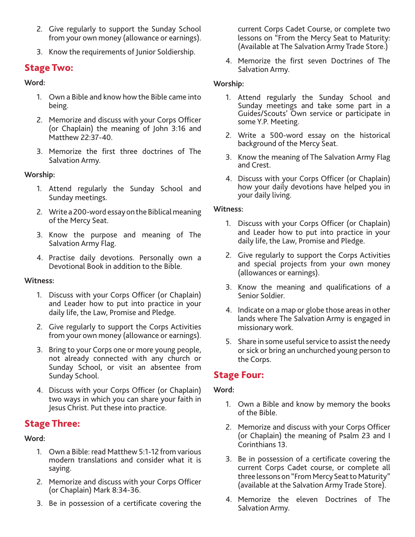- 2. Give regularly to support the Sunday School from your own money (allowance or earnings).
- 3. Know the requirements of Junior Soldiership.

## Stage Two:

#### **Word:**

- 1. Own a Bible and know how the Bible came into being.
- 2. Memorize and discuss with your Corps Officer (or Chaplain) the meaning of John 3:16 and Matthew 22:37-40.
- 3. Memorize the first three doctrines of The Salvation Army.

#### **Worship:**

- 1. Attend regularly the Sunday School and Sunday meetings.
- 2. Write a 200-word essay on the Biblical meaning of the Mercy Seat.
- 3. Know the purpose and meaning of The Salvation Army Flag.
- 4. Practise daily devotions. Personally own a Devotional Book in addition to the Bible.

#### **Witness:**

- 1. Discuss with your Corps Officer (or Chaplain) and Leader how to put into practice in your daily life, the Law, Promise and Pledge.
- 2. Give regularly to support the Corps Activities from your own money (allowance or earnings).
- 3. Bring to your Corps one or more young people, not already connected with any church or Sunday School, or visit an absentee from Sunday School.
- 4. Discuss with your Corps Officer (or Chaplain) two ways in which you can share your faith in Jesus Christ. Put these into practice.

# Stage Three:

#### **Word:**

- 1. Own a Bible: read Matthew 5:1-12 from various modern translations and consider what it is saying.
- 2. Memorize and discuss with your Corps Officer (or Chaplain) Mark 8:34-36.
- 3. Be in possession of a certificate covering the

current Corps Cadet Course, or complete two lessons on "From the Mercy Seat to Maturity: (Available at The Salvation Army Trade Store.)

4. Memorize the first seven Doctrines of The Salvation Army.

#### **Worship:**

- 1. Attend regularly the Sunday School and Sunday meetings and take some part in a Guides/Scouts' Own service or participate in some Y.P. Meeting.
- 2. Write a 500-word essay on the historical background of the Mercy Seat.
- 3. Know the meaning of The Salvation Army Flag and Crest.
- 4. Discuss with your Corps Officer (or Chaplain) how your daily devotions have helped you in your daily living.

#### **Witness:**

- 1. Discuss with your Corps Officer (or Chaplain) and Leader how to put into practice in your daily life, the Law, Promise and Pledge.
- 2. Give regularly to support the Corps Activities and special projects from your own money (allowances or earnings).
- 3. Know the meaning and qualifications of a Senior Soldier.
- 4. Indicate on a map or globe those areas in other lands where The Salvation Army is engaged in missionary work.
- 5. Share in some useful service to assist the needy or sick or bring an unchurched young person to the Corps.

## Stage Four:

#### **Word:**

- 1. Own a Bible and know by memory the books of the Bible.
- 2. Memorize and discuss with your Corps Officer (or Chaplain) the meaning of Psalm 23 and I Corinthians 13.
- 3. Be in possession of a certificate covering the current Corps Cadet course, or complete all three lessons on "From Mercy Seat to Maturity" (available at the Salvation Army Trade Store).
- 4. Memorize the eleven Doctrines of The Salvation Army.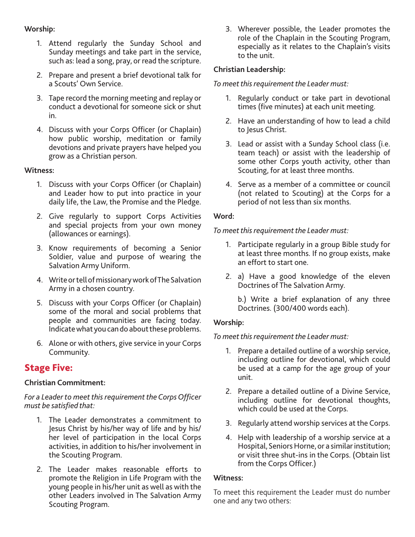#### **Worship:**

- 1. Attend regularly the Sunday School and Sunday meetings and take part in the service, such as: lead a song, pray, or read the scripture.
- 2. Prepare and present a brief devotional talk for a Scouts' Own Service.
- 3. Tape record the morning meeting and replay or conduct a devotional for someone sick or shut in.
- 4. Discuss with your Corps Officer (or Chaplain) how public worship, meditation or family devotions and private prayers have helped you grow as a Christian person.

#### **Witness:**

- 1. Discuss with your Corps Officer (or Chaplain) and Leader how to put into practice in your daily life, the Law, the Promise and the Pledge.
- 2. Give regularly to support Corps Activities and special projects from your own money (allowances or earnings).
- 3. Know requirements of becoming a Senior Soldier, value and purpose of wearing the Salvation Army Uniform.
- 4. Write or tell of missionary work of The Salvation Army in a chosen country.
- 5. Discuss with your Corps Officer (or Chaplain) some of the moral and social problems that people and communities are facing today. Indicate what you can do about these problems.
- 6. Alone or with others, give service in your Corps Community.

# Stage Five:

#### **Christian Commitment:**

*For a Leader to meet this requirement the Corps Officer must be satisfied that:*

- 1. The Leader demonstrates a commitment to Jesus Christ by his/her way of life and by his/ her level of participation in the local Corps activities, in addition to his/her involvement in the Scouting Program.
- 2. The Leader makes reasonable efforts to promote the Religion in Life Program with the young people in his/her unit as well as with the other Leaders involved in The Salvation Army Scouting Program.

3. Wherever possible, the Leader promotes the role of the Chaplain in the Scouting Program, especially as it relates to the Chaplain's visits to the unit.

#### **Christian Leadership:**

#### *To meet this requirement the Leader must:*

- 1. Regularly conduct or take part in devotional times (five minutes) at each unit meeting.
- 2. Have an understanding of how to lead a child to Jesus Christ.
- 3. Lead or assist with a Sunday School class (i.e. team teach) or assist with the leadership of some other Corps youth activity, other than Scouting, for at least three months.
- 4. Serve as a member of a committee or council (not related to Scouting) at the Corps for a period of not less than six months.

#### **Word:**

*To meet this requirement the Leader must:*

- 1. Participate regularly in a group Bible study for at least three months. If no group exists, make an effort to start one.
- 2. a) Have a good knowledge of the eleven Doctrines of The Salvation Army.

b.) Write a brief explanation of any three Doctrines. (300/400 words each).

#### **Worship:**

*To meet this requirement the Leader must:*

- 1. Prepare a detailed outline of a worship service, including outline for devotional, which could be used at a camp for the age group of your unit.
- 2. Prepare a detailed outline of a Divine Service, including outline for devotional thoughts, which could be used at the Corps.
- 3. Regularly attend worship services at the Corps.
- 4. Help with leadership of a worship service at a Hospital, Seniors Horne, or a similar institution; or visit three shut-ins in the Corps. (Obtain list from the Corps Officer.)

#### **Witness:**

To meet this requirement the Leader must do number one and any two others: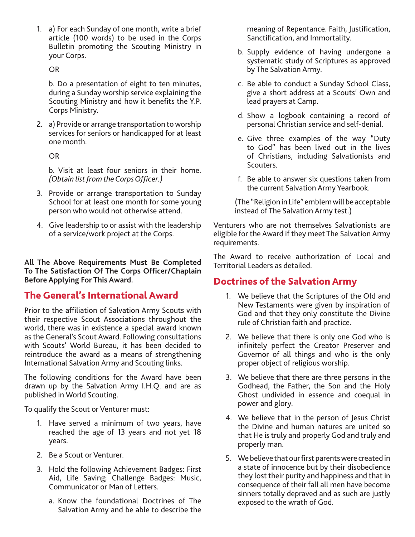1. a) For each Sunday of one month, write a brief article (100 words) to be used in the Corps Bulletin promoting the Scouting Ministry in your Corps.

OR

b. Do a presentation of eight to ten minutes, during a Sunday worship service explaining the Scouting Ministry and how it benefits the Y.P. Corps Ministry.

2. a) Provide or arrange transportation to worship services for seniors or handicapped for at least one month.

OR

b. Visit at least four seniors in their home. *(Obtain list from the Corps Officer.)*

- 3. Provide or arrange transportation to Sunday School for at least one month for some young person who would not otherwise attend.
- 4. Give leadership to or assist with the leadership of a service/work project at the Corps.

**All The Above Requirements Must Be Completed To The Satisfaction Of The Corps Officer/Chaplain Before Applying For This Award.**

# The General's International Award

Prior to the affiliation of Salvation Army Scouts with their respective Scout Associations throughout the world, there was in existence a special award known as the General's Scout Award. Following consultations with Scouts' World Bureau, it has been decided to reintroduce the award as a means of strengthening International Salvation Army and Scouting links.

The following conditions for the Award have been drawn up by the Salvation Army I.H.Q. and are as published in World Scouting.

To qualify the Scout or Venturer must:

- 1. Have served a minimum of two years, have reached the age of 13 years and not yet 18 years.
- 2. Be a Scout or Venturer.
- 3. Hold the following Achievement Badges: First Aid, Life Saving; Challenge Badges: Music, Communicator or Man of Letters.
	- a. Know the foundational Doctrines of The Salvation Army and be able to describe the

meaning of Repentance. Faith, Justification, Sanctification, and Immortality.

- b. Supply evidence of having undergone a systematic study of Scriptures as approved by The Salvation Army.
- c. Be able to conduct a Sunday School Class, give a short address at a Scouts' Own and lead prayers at Camp.
- d. Show a logbook containing a record of personal Christian service and self-denial.
- e. Give three examples of the way "Duty to God" has been lived out in the lives of Christians, including Salvationists and Scouters.
- f. Be able to answer six questions taken from the current Salvation Army Yearbook.

(The "Religion in Life" emblem will be acceptable instead of The Salvation Army test.)

Venturers who are not themselves Salvationists are eligible for the Award if they meet The Salvation Army requirements.

The Award to receive authorization of Local and Territorial Leaders as detailed.

# Doctrines of the Salvation Army

- 1. We believe that the Scriptures of the Old and New Testaments were given by inspiration of God and that they only constitute the Divine rule of Christian faith and practice.
- 2. We believe that there is only one God who is infinitely perfect the Creator Preserver and Governor of all things and who is the only proper object of religious worship.
- 3. We believe that there are three persons in the Godhead, the Father, the Son and the Holy Ghost undivided in essence and coequal in power and glory.
- 4. We believe that in the person of Jesus Christ the Divine and human natures are united so that He is truly and properly God and truly and properly man.
- 5. We believe that our first parents were created in a state of innocence but by their disobedience they lost their purity and happiness and that in consequence of their fall all men have become sinners totally depraved and as such are justly exposed to the wrath of God.